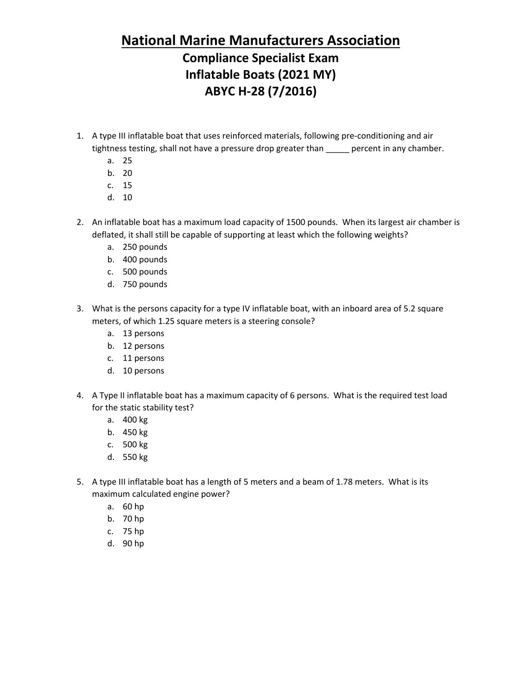## **National Marine Manufacturers Association**

## **Compliance Specialist Exam Inflatable Boats (2021 MY) ABYC H-28 (7/2016)**

- 1. A type III inflatable boat that uses reinforced materials, following pre-conditioning and air tightness testing, shall not have a pressure drop greater than \_\_\_\_\_ percent in any chamber.
	- a. 25
	- b. 20
	- c. 15
	- d. 10
- 2. An inflatable boat has a maximum load capacity of 1500 pounds. When its largest air chamber is deflated, it shall still be capable of supporting at least which the following weights?
	- a. 250 pounds
	- b. 400 pounds
	- c. 500 pounds
	- d. 750 pounds
- 3. What is the persons capacity for a type IV inflatable boat, with an inboard area of 5.2 square meters, of which 1.25 square meters is a steering console?
	- a. 13 persons
	- b. 12 persons
	- c. 11 persons
	- d. 10 persons
- 4. A Type II inflatable boat has a maximum capacity of 6 persons. What is the required test load for the static stability test?
	- a. 400 kg
	- b. 450 kg
	- c. 500 kg
	- d. 550 kg
- 5. A type III inflatable boat has a length of 5 meters and a beam of 1.78 meters. What is its maximum calculated engine power?
	- a. 60 hp
	- b. 70 hp
	- c. 75 hp
	- d. 90 hp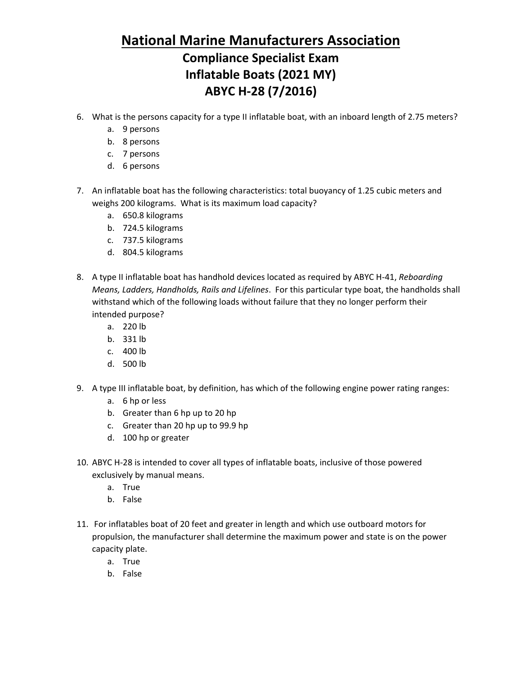## **National Marine Manufacturers Association Compliance Specialist Exam Inflatable Boats (2021 MY) ABYC H-28 (7/2016)**

- 6. What is the persons capacity for a type II inflatable boat, with an inboard length of 2.75 meters?
	- a. 9 persons
	- b. 8 persons
	- c. 7 persons
	- d. 6 persons
- 7. An inflatable boat has the following characteristics: total buoyancy of 1.25 cubic meters and weighs 200 kilograms. What is its maximum load capacity?
	- a. 650.8 kilograms
	- b. 724.5 kilograms
	- c. 737.5 kilograms
	- d. 804.5 kilograms
- 8. A type II inflatable boat has handhold devices located as required by ABYC H-41, *Reboarding Means, Ladders, Handholds, Rails and Lifelines*. For this particular type boat, the handholds shall withstand which of the following loads without failure that they no longer perform their intended purpose?
	- a. 220 lb
	- b. 331 lb
	- c. 400 lb
	- d. 500 lb
- 9. A type III inflatable boat, by definition, has which of the following engine power rating ranges:
	- a. 6 hp or less
	- b. Greater than 6 hp up to 20 hp
	- c. Greater than 20 hp up to 99.9 hp
	- d. 100 hp or greater
- 10. ABYC H-28 is intended to cover all types of inflatable boats, inclusive of those powered exclusively by manual means.
	- a. True
	- b. False
- 11. For inflatables boat of 20 feet and greater in length and which use outboard motors for propulsion, the manufacturer shall determine the maximum power and state is on the power capacity plate.
	- a. True
	- b. False